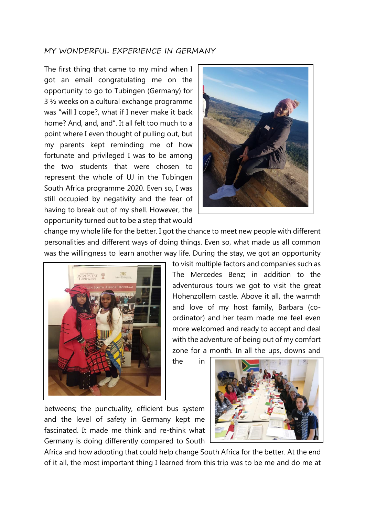## MY WONDERFUL EXPERIENCE IN GERMANY

The first thing that came to my mind when I got an email congratulating me on the opportunity to go to Tubingen (Germany) for 3 ½ weeks on a cultural exchange programme was "will I cope?, what if I never make it back home? And, and, and". It all felt too much to a point where I even thought of pulling out, but my parents kept reminding me of how fortunate and privileged I was to be among the two students that were chosen to represent the whole of UJ in the Tubingen South Africa programme 2020. Even so, I was still occupied by negativity and the fear of having to break out of my shell. However, the opportunity turned out to be a step that would



change my whole life for the better. I got the chance to meet new people with different personalities and different ways of doing things. Even so, what made us all common was the willingness to learn another way life. During the stay, we got an opportunity



to visit multiple factors and companies such as The Mercedes Benz; in addition to the adventurous tours we got to visit the great Hohenzollern castle. Above it all, the warmth and love of my host family, Barbara (coordinator) and her team made me feel even more welcomed and ready to accept and deal with the adventure of being out of my comfort zone for a month. In all the ups, downs and

the in

betweens; the punctuality, efficient bus system and the level of safety in Germany kept me fascinated. It made me think and re-think what Germany is doing differently compared to South



Africa and how adopting that could help change South Africa for the better. At the end of it all, the most important thing I learned from this trip was to be me and do me at